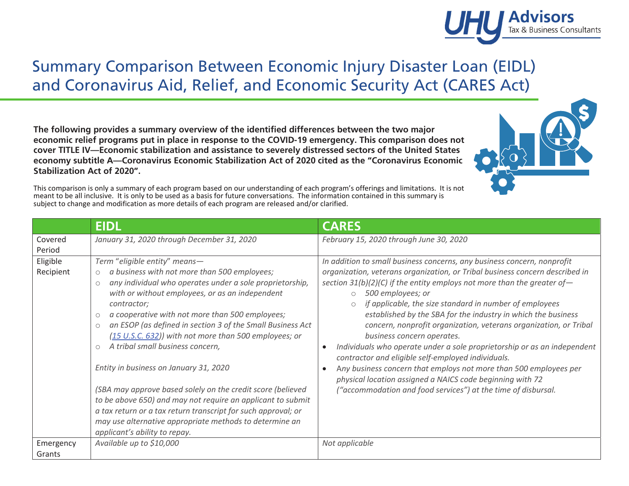## Summary Comparison Between Economic Injury Disaster Loan (EIDL) and Coronavirus Aid, Relief, and Economic Security Act (CARES Act)

**The following provides a summary overview of the identified differences between the two major economic relief programs put in place in response to the COVID-19 emergency. This comparison does not cover TITLE IV—Economic stabilization and assistance to severely distressed sectors of the United States economy subtitle A—Coronavirus Economic Stabilization Act of 2020 cited as the "Coronavirus Economic Stabilization Act of 2020".** 

This comparison is only a summary of each program based on our understanding of each program's offerings and limitations. It is not meant to be all inclusive. It is only to be used as a basis for future conversations. The information contained in this summary is subject to change and modification as more details of each program are released and/or clarified.

|                       | <b>EIDL</b>                                                                                                                                                                                                                                                                                                                                                                                                                                                                                                                                                                                                                                                                                                                                                                                                | <b>CARES</b>                                                                                                                                                                                                                                                                                                                                                                                                                                                                                                                                                                                                                                                                                                                                                                                                                                                       |
|-----------------------|------------------------------------------------------------------------------------------------------------------------------------------------------------------------------------------------------------------------------------------------------------------------------------------------------------------------------------------------------------------------------------------------------------------------------------------------------------------------------------------------------------------------------------------------------------------------------------------------------------------------------------------------------------------------------------------------------------------------------------------------------------------------------------------------------------|--------------------------------------------------------------------------------------------------------------------------------------------------------------------------------------------------------------------------------------------------------------------------------------------------------------------------------------------------------------------------------------------------------------------------------------------------------------------------------------------------------------------------------------------------------------------------------------------------------------------------------------------------------------------------------------------------------------------------------------------------------------------------------------------------------------------------------------------------------------------|
| Covered<br>Period     | January 31, 2020 through December 31, 2020                                                                                                                                                                                                                                                                                                                                                                                                                                                                                                                                                                                                                                                                                                                                                                 | February 15, 2020 through June 30, 2020                                                                                                                                                                                                                                                                                                                                                                                                                                                                                                                                                                                                                                                                                                                                                                                                                            |
| Eligible<br>Recipient | Term "eligible entity" means—<br>a business with not more than 500 employees;<br>$\circ$<br>any individual who operates under a sole proprietorship,<br>$\circ$<br>with or without employees, or as an independent<br>contractor;<br>a cooperative with not more than 500 employees;<br>$\circ$<br>an ESOP (as defined in section 3 of the Small Business Act<br>$\circ$<br>(15 U.S.C. 632)) with not more than 500 employees; or<br>A tribal small business concern,<br>Entity in business on January 31, 2020<br>(SBA may approve based solely on the credit score (believed<br>to be above 650) and may not require an applicant to submit<br>a tax return or a tax return transcript for such approval; or<br>may use alternative appropriate methods to determine an<br>applicant's ability to repay. | In addition to small business concerns, any business concern, nonprofit<br>organization, veterans organization, or Tribal business concern described in<br>section $31(b)(2)(C)$ if the entity employs not more than the greater of-<br>500 employees; or<br>$\circ$<br>if applicable, the size standard in number of employees<br>established by the SBA for the industry in which the business<br>concern, nonprofit organization, veterans organization, or Tribal<br>business concern operates.<br>Individuals who operate under a sole proprietorship or as an independent<br>$\bullet$<br>contractor and eligible self-employed individuals.<br>Any business concern that employs not more than 500 employees per<br>$\bullet$<br>physical location assigned a NAICS code beginning with 72<br>("accommodation and food services") at the time of disbursal. |
| Emergency<br>Grants   | Available up to \$10,000                                                                                                                                                                                                                                                                                                                                                                                                                                                                                                                                                                                                                                                                                                                                                                                   | Not applicable                                                                                                                                                                                                                                                                                                                                                                                                                                                                                                                                                                                                                                                                                                                                                                                                                                                     |



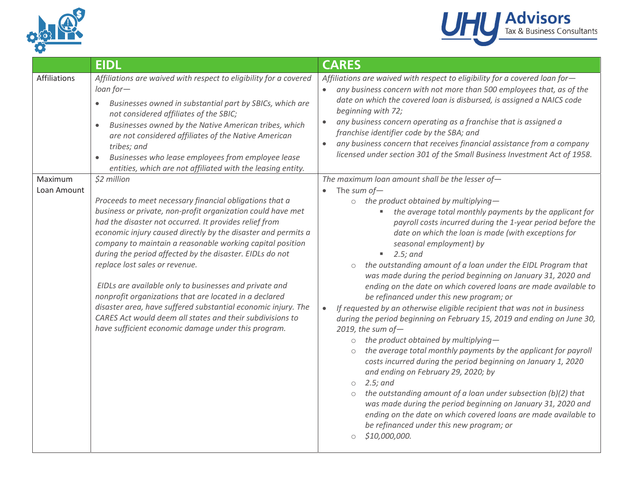



|                        | <b>EIDL</b>                                                                                                                                                                                                                                                                                                                                                                                                                                                                                                                                                                                                                                                                                                                          | <b>CARES</b>                                                                                                                                                                                                                                                                                                                                                                                                                                                                                                                                                                                                                                                                                                                                                                                                                                                                                                                                                                                                                                                                                                                                                                                                                                                                                                                                                    |
|------------------------|--------------------------------------------------------------------------------------------------------------------------------------------------------------------------------------------------------------------------------------------------------------------------------------------------------------------------------------------------------------------------------------------------------------------------------------------------------------------------------------------------------------------------------------------------------------------------------------------------------------------------------------------------------------------------------------------------------------------------------------|-----------------------------------------------------------------------------------------------------------------------------------------------------------------------------------------------------------------------------------------------------------------------------------------------------------------------------------------------------------------------------------------------------------------------------------------------------------------------------------------------------------------------------------------------------------------------------------------------------------------------------------------------------------------------------------------------------------------------------------------------------------------------------------------------------------------------------------------------------------------------------------------------------------------------------------------------------------------------------------------------------------------------------------------------------------------------------------------------------------------------------------------------------------------------------------------------------------------------------------------------------------------------------------------------------------------------------------------------------------------|
| Affiliations           | Affiliations are waived with respect to eligibility for a covered<br>$loan for-$<br>Businesses owned in substantial part by SBICs, which are<br>not considered affiliates of the SBIC;<br>Businesses owned by the Native American tribes, which<br>$\bullet$<br>are not considered affiliates of the Native American<br>tribes; and<br>Businesses who lease employees from employee lease<br>entities, which are not affiliated with the leasing entity.                                                                                                                                                                                                                                                                             | Affiliations are waived with respect to eligibility for a covered loan for-<br>any business concern with not more than 500 employees that, as of the<br>$\bullet$<br>date on which the covered loan is disbursed, is assigned a NAICS code<br>beginning with 72;<br>any business concern operating as a franchise that is assigned a<br>$\bullet$<br>franchise identifier code by the SBA; and<br>any business concern that receives financial assistance from a company<br>$\bullet$<br>licensed under section 301 of the Small Business Investment Act of 1958.                                                                                                                                                                                                                                                                                                                                                                                                                                                                                                                                                                                                                                                                                                                                                                                               |
| Maximum<br>Loan Amount | \$2 million<br>Proceeds to meet necessary financial obligations that a<br>business or private, non-profit organization could have met<br>had the disaster not occurred. It provides relief from<br>economic injury caused directly by the disaster and permits a<br>company to maintain a reasonable working capital position<br>during the period affected by the disaster. EIDLs do not<br>replace lost sales or revenue.<br>EIDLs are available only to businesses and private and<br>nonprofit organizations that are located in a declared<br>disaster area, have suffered substantial economic injury. The<br>CARES Act would deem all states and their subdivisions to<br>have sufficient economic damage under this program. | The maximum loan amount shall be the lesser of-<br>The sum of $-$<br>$\circ$ the product obtained by multiplying-<br>the average total monthly payments by the applicant for<br>۰.<br>payroll costs incurred during the 1-year period before the<br>date on which the loan is made (with exceptions for<br>seasonal employment) by<br>$\blacksquare$ 2.5; and<br>the outstanding amount of a loan under the EIDL Program that<br>was made during the period beginning on January 31, 2020 and<br>ending on the date on which covered loans are made available to<br>be refinanced under this new program; or<br>If requested by an otherwise eligible recipient that was not in business<br>$\bullet$<br>during the period beginning on February 15, 2019 and ending on June 30,<br>2019, the sum of $-$<br>the product obtained by multiplying-<br>$\circ$<br>the average total monthly payments by the applicant for payroll<br>$\circ$<br>costs incurred during the period beginning on January 1, 2020<br>and ending on February 29, 2020; by<br>2.5; and<br>$\circ$<br>the outstanding amount of a loan under subsection (b)(2) that<br>$\circ$<br>was made during the period beginning on January 31, 2020 and<br>ending on the date on which covered loans are made available to<br>be refinanced under this new program; or<br>\$10,000,000.<br>$\circ$ |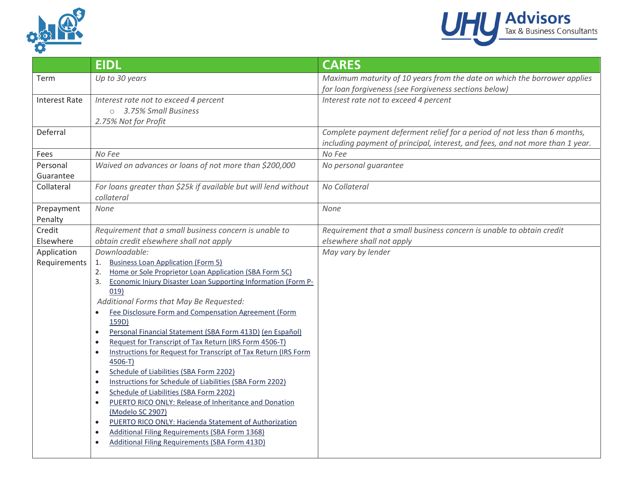



|                      | <b>EIDL</b>                                                                            | <b>CARES</b>                                                                  |
|----------------------|----------------------------------------------------------------------------------------|-------------------------------------------------------------------------------|
| Term                 | Up to 30 years                                                                         | Maximum maturity of 10 years from the date on which the borrower applies      |
|                      |                                                                                        | for loan forgiveness (see Forgiveness sections below)                         |
| <b>Interest Rate</b> | Interest rate not to exceed 4 percent                                                  | Interest rate not to exceed 4 percent                                         |
|                      | ○ 3.75% Small Business                                                                 |                                                                               |
|                      | 2.75% Not for Profit                                                                   |                                                                               |
| Deferral             |                                                                                        | Complete payment deferment relief for a period of not less than 6 months,     |
|                      |                                                                                        | including payment of principal, interest, and fees, and not more than 1 year. |
| Fees                 | No Fee                                                                                 | No Fee                                                                        |
| Personal             | Waived on advances or loans of not more than \$200,000                                 | No personal guarantee                                                         |
| Guarantee            |                                                                                        |                                                                               |
| Collateral           | For loans greater than \$25k if available but will lend without                        | No Collateral                                                                 |
|                      | collateral                                                                             |                                                                               |
| Prepayment           | None                                                                                   | None                                                                          |
| Penalty              |                                                                                        |                                                                               |
| Credit               | Requirement that a small business concern is unable to                                 | Requirement that a small business concern is unable to obtain credit          |
| Elsewhere            | obtain credit elsewhere shall not apply                                                | elsewhere shall not apply                                                     |
| Application          | Downloadable:                                                                          | May vary by lender                                                            |
| Requirements         | <b>Business Loan Application (Form 5)</b><br>1.                                        |                                                                               |
|                      | Home or Sole Proprietor Loan Application (SBA Form 5C)<br>2.                           |                                                                               |
|                      | Economic Injury Disaster Loan Supporting Information (Form P-<br>3.                    |                                                                               |
|                      | 019)<br>Additional Forms that May Be Requested:                                        |                                                                               |
|                      | Fee Disclosure Form and Compensation Agreement (Form<br>$\bullet$                      |                                                                               |
|                      | 159D)                                                                                  |                                                                               |
|                      | Personal Financial Statement (SBA Form 413D) (en Español)<br>$\bullet$                 |                                                                               |
|                      | Request for Transcript of Tax Return (IRS Form 4506-T)<br>$\bullet$                    |                                                                               |
|                      | Instructions for Request for Transcript of Tax Return (IRS Form<br>$\bullet$           |                                                                               |
|                      | 4506-T)                                                                                |                                                                               |
|                      | Schedule of Liabilities (SBA Form 2202)<br>$\bullet$                                   |                                                                               |
|                      | Instructions for Schedule of Liabilities (SBA Form 2202)<br>$\bullet$                  |                                                                               |
|                      | Schedule of Liabilities (SBA Form 2202)<br>$\bullet$                                   |                                                                               |
|                      | PUERTO RICO ONLY: Release of Inheritance and Donation<br>$\bullet$                     |                                                                               |
|                      | (Modelo SC 2907)<br>PUERTO RICO ONLY: Hacienda Statement of Authorization<br>$\bullet$ |                                                                               |
|                      | <b>Additional Filing Requirements (SBA Form 1368)</b><br>$\bullet$                     |                                                                               |
|                      | <b>Additional Filing Requirements (SBA Form 413D)</b><br>$\bullet$                     |                                                                               |
|                      |                                                                                        |                                                                               |
|                      |                                                                                        |                                                                               |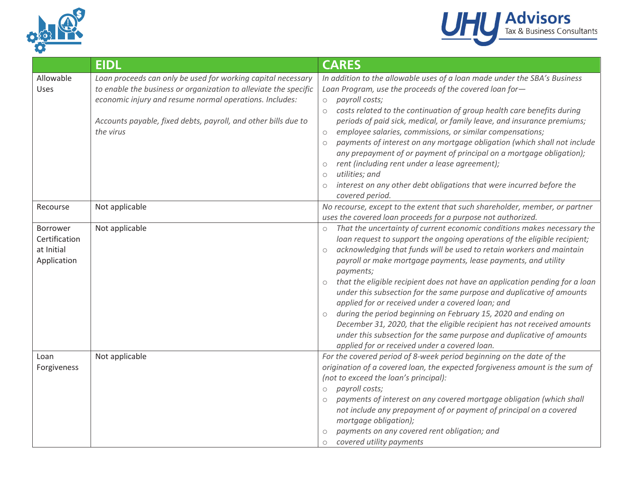



|                                                        | <b>EIDL</b>                                                                                                                                                                                                                                                                | <b>CARES</b>                                                                                                                                                                                                                                                                                                                                                                                                                                                                                                                                                                                                                                                                                                                                                                                                          |
|--------------------------------------------------------|----------------------------------------------------------------------------------------------------------------------------------------------------------------------------------------------------------------------------------------------------------------------------|-----------------------------------------------------------------------------------------------------------------------------------------------------------------------------------------------------------------------------------------------------------------------------------------------------------------------------------------------------------------------------------------------------------------------------------------------------------------------------------------------------------------------------------------------------------------------------------------------------------------------------------------------------------------------------------------------------------------------------------------------------------------------------------------------------------------------|
| Allowable<br>Uses                                      | Loan proceeds can only be used for working capital necessary<br>to enable the business or organization to alleviate the specific<br>economic injury and resume normal operations. Includes:<br>Accounts payable, fixed debts, payroll, and other bills due to<br>the virus | In addition to the allowable uses of a loan made under the SBA's Business<br>Loan Program, use the proceeds of the covered loan for-<br>payroll costs;<br>$\circ$<br>costs related to the continuation of group health care benefits during<br>$\circ$<br>periods of paid sick, medical, or family leave, and insurance premiums;<br>employee salaries, commissions, or similar compensations;<br>$\bigcirc$<br>payments of interest on any mortgage obligation (which shall not include<br>$\circ$<br>any prepayment of or payment of principal on a mortgage obligation);<br>rent (including rent under a lease agreement);<br>$\bigcirc$<br>utilities; and<br>$\circlearrowright$<br>interest on any other debt obligations that were incurred before the<br>$\circ$<br>covered period.                            |
| Recourse                                               | Not applicable                                                                                                                                                                                                                                                             | No recourse, except to the extent that such shareholder, member, or partner<br>uses the covered loan proceeds for a purpose not authorized.                                                                                                                                                                                                                                                                                                                                                                                                                                                                                                                                                                                                                                                                           |
| Borrower<br>Certification<br>at Initial<br>Application | Not applicable                                                                                                                                                                                                                                                             | That the uncertainty of current economic conditions makes necessary the<br>loan request to support the ongoing operations of the eligible recipient;<br>acknowledging that funds will be used to retain workers and maintain<br>payroll or make mortgage payments, lease payments, and utility<br>payments;<br>that the eligible recipient does not have an application pending for a loan<br>$\circ$<br>under this subsection for the same purpose and duplicative of amounts<br>applied for or received under a covered loan; and<br>during the period beginning on February 15, 2020 and ending on<br>$\circ$<br>December 31, 2020, that the eligible recipient has not received amounts<br>under this subsection for the same purpose and duplicative of amounts<br>applied for or received under a covered loan. |
| Loan<br>Forgiveness                                    | Not applicable                                                                                                                                                                                                                                                             | For the covered period of 8-week period beginning on the date of the<br>origination of a covered loan, the expected forgiveness amount is the sum of<br>(not to exceed the loan's principal):<br>payroll costs;<br>$\bigcirc$<br>payments of interest on any covered mortgage obligation (which shall<br>not include any prepayment of or payment of principal on a covered<br>mortgage obligation);<br>payments on any covered rent obligation; and<br>covered utility payments<br>$\circlearrowright$                                                                                                                                                                                                                                                                                                               |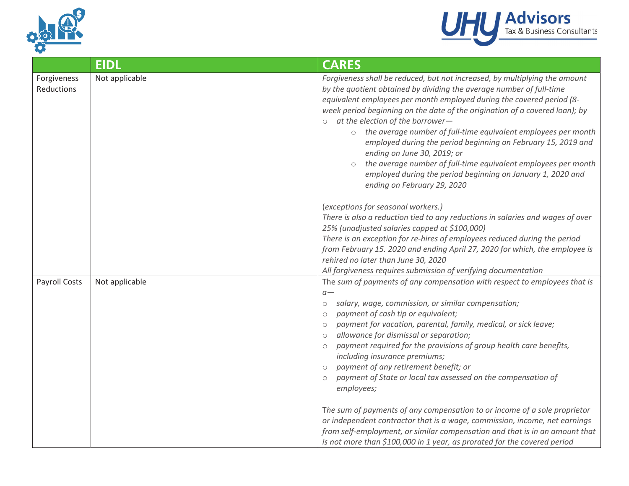



|                           | <b>EIDL</b>    | <b>CARES</b>                                                                                                                                                                                                                                                                                                                                                                                                                                                                                                                                                                                                                                                                                                                                                                                                                                                                                                                                         |
|---------------------------|----------------|------------------------------------------------------------------------------------------------------------------------------------------------------------------------------------------------------------------------------------------------------------------------------------------------------------------------------------------------------------------------------------------------------------------------------------------------------------------------------------------------------------------------------------------------------------------------------------------------------------------------------------------------------------------------------------------------------------------------------------------------------------------------------------------------------------------------------------------------------------------------------------------------------------------------------------------------------|
| Forgiveness<br>Reductions | Not applicable | Forgiveness shall be reduced, but not increased, by multiplying the amount<br>by the quotient obtained by dividing the average number of full-time<br>equivalent employees per month employed during the covered period (8-<br>week period beginning on the date of the origination of a covered loan); by<br>o at the election of the borrower-<br>the average number of full-time equivalent employees per month<br>$\circ$<br>employed during the period beginning on February 15, 2019 and<br>ending on June 30, 2019; or<br>the average number of full-time equivalent employees per month<br>employed during the period beginning on January 1, 2020 and<br>ending on February 29, 2020                                                                                                                                                                                                                                                        |
|                           |                | (exceptions for seasonal workers.)<br>There is also a reduction tied to any reductions in salaries and wages of over<br>25% (unadjusted salaries capped at \$100,000)<br>There is an exception for re-hires of employees reduced during the period<br>from February 15. 2020 and ending April 27, 2020 for which, the employee is<br>rehired no later than June 30, 2020<br>All forgiveness requires submission of verifying documentation                                                                                                                                                                                                                                                                                                                                                                                                                                                                                                           |
| <b>Payroll Costs</b>      | Not applicable | The sum of payments of any compensation with respect to employees that is<br>$a-$<br>salary, wage, commission, or similar compensation;<br>$\circlearrowright$<br>payment of cash tip or equivalent;<br>$\circ$<br>payment for vacation, parental, family, medical, or sick leave;<br>$\circ$<br>allowance for dismissal or separation;<br>$\circ$<br>payment required for the provisions of group health care benefits,<br>$\circlearrowright$<br>including insurance premiums;<br>payment of any retirement benefit; or<br>$\circ$<br>payment of State or local tax assessed on the compensation of<br>$\circ$<br>employees;<br>The sum of payments of any compensation to or income of a sole proprietor<br>or independent contractor that is a wage, commission, income, net earnings<br>from self-employment, or similar compensation and that is in an amount that<br>is not more than \$100,000 in 1 year, as prorated for the covered period |